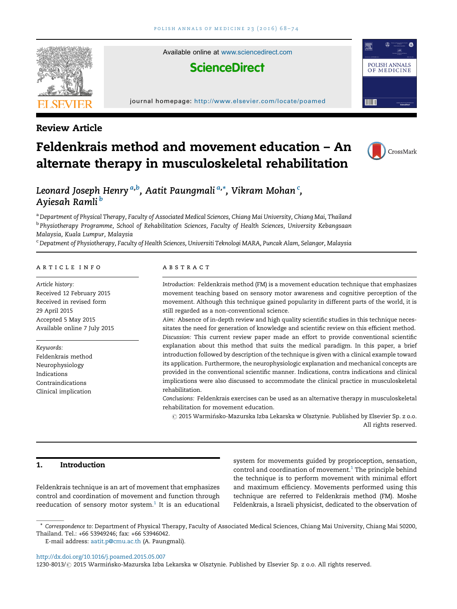

Review Article

Available online at [www.sciencedirect.com](http://www.sciencedirect.com/science/journal/12308013)

## **ScienceDirect**

#### journal homepage: <http://www.elsevier.com/locate/poamed>

# CrossMark

POLISH ANNALS OF MEDICINE

**TITLE** 

## Feldenkrais method and movement education – An alternate therapy in musculoskeletal rehabilitation



a Department of Physical Therapy, Faculty of Associated Medical Sciences, Chiang Mai University, Chiang Mai, Thailand <sup>b</sup> Physiotherapy Programme, School of Rehabilitation Sciences, Faculty of Health Sciences, University Kebangsaan Malaysia, Kuala Lumpur, Malaysia

<sup>c</sup> Depatment of Physiotherapy, Faculty of Health Sciences, Universiti Teknologi MARA, Puncak Alam, Selangor, Malaysia

## a r t i c l e i n f o

Article history: Received 12 February 2015 Received in revised form 29 April 2015 Accepted 5 May 2015 Available online 7 July 2015

Keywords: Feldenkrais method Neurophysiology Indications Contraindications Clinical implication

## a b s t r a c t

Introduction: Feldenkrais method (FM) is a movement education technique that emphasizes movement teaching based on sensory motor awareness and cognitive perception of the movement. Although this technique gained popularity in different parts of the world, it is still regarded as a non-conventional science.

Aim: Absence of in-depth review and high quality scientific studies in this technique necessitates the need for generation of knowledge and scientific review on this efficient method. Discussion: This current review paper made an effort to provide conventional scientific explanation about this method that suits the medical paradigm. In this paper, a brief introduction followed by description of the technique is given with a clinical example toward its application. Furthermore, the neurophysiologic explanation and mechanical concepts are provided in the conventional scientific manner. Indications, contra indications and clinical implications were also discussed to accommodate the clinical practice in musculoskeletal rehabilitation.

Conclusions: Feldenkrais exercises can be used as an alternative therapy in musculoskeletal rehabilitation for movement education.

 $\odot$  2015 Warmińsko-Mazurska Izba Lekarska w Olsztynie. Published by Elsevier Sp. z o.o. All rights reserved.

## 1. Introduction

Feldenkrais technique is an art of movement that emphasizes control and coordination of movement and function through reeducation of sensory motor system. $1$  It is an educational

system for movements guided by proprioception, sensation, control and coordination of movement.<sup>1</sup> The principle behind the technique is to perform movement with minimal effort and maximum efficiency. Movements performed using this technique are referred to Feldenkrais method (FM). Moshe Feldenkrais, a Israeli physicist, dedicated to the observation of

<http://dx.doi.org/10.1016/j.poamed.2015.05.007>

1230-8013/ @ 2015 Warmińsko-Mazurska Izba Lekarska w Olsztynie. Published by Elsevier Sp. z o.o. All rights reserved.

Correspondence to: Department of Physical Therapy, Faculty of Associated Medical Sciences, Chiang Mai University, Chiang Mai 50200, Thailand. Tel.: +66 53949246; fax: +66 53946042.

E-mail address: [aatit.p@cmu.ac.th](mailto:aatit.p@cmu.ac.th) (A. Paungmali).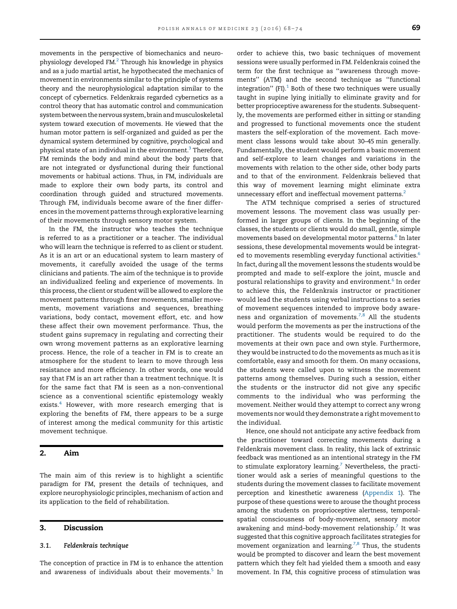movements in the perspective of biomechanics and neurophysiology developed FM.[2](#page-5-0) Through his knowledge in physics and as a judo martial artist, he hypothecated the mechanics of movement in environments similar to the principle of systems theory and the neurophysiological adaptation similar to the concept of cybernetics. Feldenkrais regarded cybernetics as a control theory that has automatic control and communication system between the nervous system, brain and musculoskeletal system toward execution of movements. He viewed that the human motor pattern is self-organized and guided as per the dynamical system determined by cognitive, psychological and physical state of an individual in the environment.<sup>3</sup> Therefore, FM reminds the body and mind about the body parts that are not integrated or dysfunctional during their functional movements or habitual actions. Thus, in FM, individuals are made to explore their own body parts, its control and coordination through guided and structured movements. Through FM, individuals become aware of the finer differences in the movement patterns through explorative learning of their movements through sensory motor system.

In the FM, the instructor who teaches the technique is referred to as a practitioner or a teacher. The individual who will learn the technique is referred to as client or student. As it is an art or an educational system to learn mastery of movements, it carefully avoided the usage of the terms clinicians and patients. The aim of the technique is to provide an individualized feeling and experience of movements. In this process, the client or student will be allowed to explore the movement patterns through finer movements, smaller movements, movement variations and sequences, breathing variations, body contact, movement effort, etc. and how these affect their own movement performance. Thus, the student gains supremacy in regulating and correcting their own wrong movement patterns as an explorative learning process. Hence, the role of a teacher in FM is to create an atmosphere for the student to learn to move through less resistance and more efficiency. In other words, one would say that FM is an art rather than a treatment technique. It is for the same fact that FM is seen as a non-conventional science as a conventional scientific epistemology weakly exists.<sup>[4](#page-5-0)</sup> However, with more research emerging that is exploring the benefits of FM, there appears to be a surge of interest among the medical community for this artistic movement technique.

## 2. Aim

The main aim of this review is to highlight a scientific paradigm for FM, present the details of techniques, and explore neurophysiologic principles, mechanism of action and its application to the field of rehabilitation.

#### 3. Discussion

#### 3.1. Feldenkrais technique

The conception of practice in FM is to enhance the attention and awareness of individuals about their movements.<sup>5</sup> In order to achieve this, two basic techniques of movement sessions were usually performed in FM. Feldenkrais coined the term for the first technique as ''awareness through movements'' (ATM) and the second technique as ''functional integration" (FI). $1$  Both of these two techniques were usually taught in supine lying initially to eliminate gravity and for better proprioceptive awareness for the students. Subsequently, the movements are performed either in sitting or standing and progressed to functional movements once the student masters the self-exploration of the movement. Each movement class lessons would take about 30–45 min generally. Fundamentally, the student would perform a basic movement and self-explore to learn changes and variations in the movements with relation to the other side, other body parts and to that of the environment. Feldenkrais believed that this way of movement learning might eliminate extra unnecessary effort and ineffectual movement patterns.<sup>[2](#page-5-0)</sup>

The ATM technique comprised a series of structured movement lessons. The movement class was usually performed in larger groups of clients. In the beginning of the classes, the students or clients would do small, gentle, simple movements based on developmental motor patterns.<sup>[6](#page-5-0)</sup> In later sessions, these developmental movements would be integrat-ed to movements resembling everyday functional activities.<sup>[6](#page-5-0)</sup> In fact, during all the movement lessons the students would be prompted and made to self-explore the joint, muscle and postural relationships to gravity and environment.[6](#page-5-0) In order to achieve this, the Feldenkrais instructor or practitioner would lead the students using verbal instructions to a series of movement sequences intended to improve body aware-ness and organization of movements.<sup>[7,8](#page-5-0)</sup> All the students would perform the movements as per the instructions of the practitioner. The students would be required to do the movements at their own pace and own style. Furthermore, they would be instructed to do the movements as much as itis comfortable, easy and smooth for them. On many occasions, the students were called upon to witness the movement patterns among themselves. During such a session, either the students or the instructor did not give any specific comments to the individual who was performing the movement. Neither would they attempt to correct any wrong movements nor would they demonstrate a right movement to the individual.

Hence, one should not anticipate any active feedback from the practitioner toward correcting movements during a Feldenkrais movement class. In reality, this lack of extrinsic feedback was mentioned as an intentional strategy in the FM to stimulate exploratory learning.<sup>7</sup> Nevertheless, the practitioner would ask a series of meaningful questions to the students during the movement classes to facilitate movement perception and kinesthetic awareness [\(Appendix](#page-4-0) 1). The purpose of these questions were to arouse the thought process among the students on proprioceptive alertness, temporalspatial consciousness of body-movement, sensory motor awakening and mind-body-movement relationship.<sup>7</sup> It was suggested that this cognitive approach facilitates strategies for movement organization and learning.<sup>7,8</sup> Thus, the students would be prompted to discover and learn the best movement pattern which they felt had yielded them a smooth and easy movement. In FM, this cognitive process of stimulation was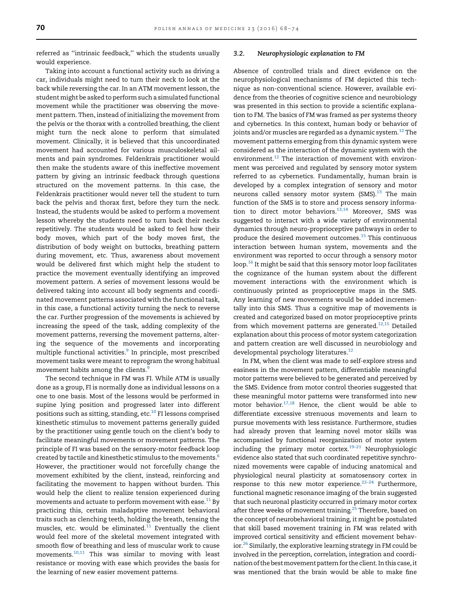referred as ''intrinsic feedback,'' which the students usually would experience.

Taking into account a functional activity such as driving a car, individuals might need to turn their neck to look at the back while reversing the car. In an ATM movement lesson, the student might be asked to perform such a simulated functional movement while the practitioner was observing the movement pattern. Then, instead of initializing the movement from the pelvis or the thorax with a controlled breathing, the client might turn the neck alone to perform that simulated movement. Clinically, it is believed that this uncoordinated movement had accounted for various musculoskeletal ailments and pain syndromes. Feldenkrais practitioner would then make the students aware of this ineffective movement pattern by giving an intrinsic feedback through questions structured on the movement patterns. In this case, the Feldenkrais practitioner would never tell the student to turn back the pelvis and thorax first, before they turn the neck. Instead, the students would be asked to perform a movement lesson whereby the students need to turn back their necks repetitively. The students would be asked to feel how their body moves, which part of the body moves first, the distribution of body weight on buttocks, breathing pattern during movement, etc. Thus, awareness about movement would be delivered first which might help the student to practice the movement eventually identifying an improved movement pattern. A series of movement lessons would be delivered taking into account all body segments and coordinated movement patterns associated with the functional task, in this case, a functional activity turning the neck to reverse the car. Further progression of the movements is achieved by increasing the speed of the task, adding complexity of the movement patterns, reversing the movement patterns, altering the sequence of the movements and incorporating multiple functional activities.<sup>9</sup> In principle, most prescribed movement tasks were meant to reprogram the wrong habitual movement habits among the clients.<sup>[9](#page-5-0)</sup>

The second technique in FM was FI. While ATM is usually done as a group, FI is normally done as individual lessons on a one to one basis. Most of the lessons would be performed in supine lying position and progressed later into different positions such as sitting, standing, etc.<sup>[10](#page-5-0)</sup> FI lessons comprised kinesthetic stimulus to movement patterns generally guided by the practitioner using gentle touch on the client's body to facilitate meaningful movements or movement patterns. The principle of FI was based on the sensory-motor feedback loop created by tactile and kinesthetic stimulus to the movements.<sup>6</sup> However, the practitioner would not forcefully change the movement exhibited by the client, instead, reinforcing and facilitating the movement to happen without burden. This would help the client to realize tension experienced during movements and actuate to perform movement with ease. $^{11}$  $^{11}$  $^{11}$  By practicing this, certain maladaptive movement behavioral traits such as clenching teeth, holding the breath, tensing the muscles, etc. would be eliminated. $11$  Eventually the client would feel more of the skeletal movement integrated with smooth flow of breathing and less of muscular work to cause movements.[10,11](#page-5-0) This was similar to moving with least resistance or moving with ease which provides the basis for the learning of new easier movement patterns.

#### 3.2. Neurophysiologic explanation to FM

Absence of controlled trials and direct evidence on the neurophysiological mechanisms of FM depicted this technique as non-conventional science. However, available evidence from the theories of cognitive science and neurobiology was presented in this section to provide a scientific explanation to FM. The basics of FM was framed as per systems theory and cybernetics. In this context, human body or behavior of joints and/or muscles are regarded as a dynamic system.<sup>12</sup> The movement patterns emerging from this dynamic system were considered as the interaction of the dynamic system with the environment.<sup>12</sup> The interaction of movement with environment was perceived and regulated by sensory motor system referred to as cybernetics. Fundamentally, human brain is developed by a complex integration of sensory and motor neurons called sensory motor system (SMS).<sup>13</sup> The main function of the SMS is to store and process sensory informa-tion to direct motor behaviors.<sup>[13,14](#page-5-0)</sup> Moreover, SMS was suggested to interact with a wide variety of environmental dynamics through neuro-proprioceptive pathways in order to produce the desired movement outcomes.<sup>[15](#page-5-0)</sup> This continuous interaction between human system, movements and the environment was reported to occur through a sensory motor loop[.16](#page-5-0) It might be said that this sensory motor loop facilitates the cognizance of the human system about the different movement interactions with the environment which is continuously printed as proprioceptive maps in the SMS. Any learning of new movements would be added incrementally into this SMS. Thus a cognitive map of movements is created and categorized based on motor proprioceptive prints from which movement patterns are generated.<sup>[12,15](#page-5-0)</sup> Detailed explanation about this process of motor system categorization and pattern creation are well discussed in neurobiology and developmental psychology literatures.<sup>[12](#page-5-0)</sup>

In FM, when the client was made to self-explore stress and easiness in the movement pattern, differentiable meaningful motor patterns were believed to be generated and perceived by the SMS. Evidence from motor control theories suggested that these meaningful motor patterns were transformed into new motor behavior[.17,18](#page-5-0) Hence, the client would be able to differentiate excessive strenuous movements and learn to pursue movements with less resistance. Furthermore, studies had already proven that learning novel motor skills was accompanied by functional reorganization of motor system including the primary motor cortex. $19-21$  Neurophysiologic evidence also stated that such coordinated repetitive synchronized movements were capable of inducing anatomical and physiological neural plasticity at somatosensory cortex in response to this new motor experience.<sup>22-24</sup> Furthermore, functional magnetic resonance imaging of the brain suggested that such neuronal plasticity occurred in primary motor cortex after three weeks of movement training.<sup>[25](#page-5-0)</sup> Therefore, based on the concept of neurobehavioral training, it might be postulated that skill based movement training in FM was related with improved cortical sensitivity and efficient movement behavior.[26](#page-5-0) Similarly, the explorative learning strategy in FM could be involved in the perception, correlation, integration and coordination of the best movement pattern for the client. In this case, it was mentioned that the brain would be able to make fine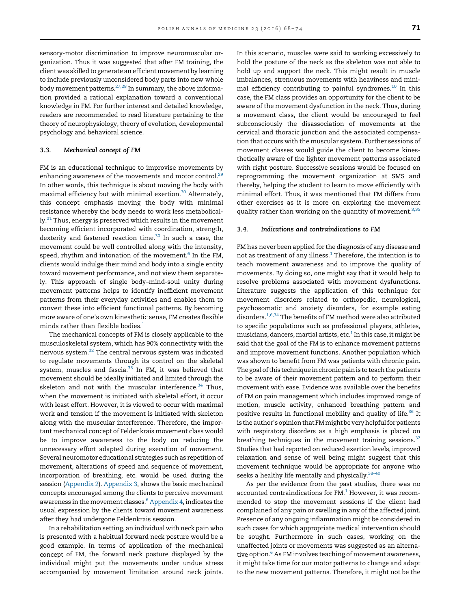sensory-motor discrimination to improve neuromuscular organization. Thus it was suggested that after FM training, the client was skilled to generate an efficient movement by learning to include previously unconsidered body parts into new whole body movement patterns. $27,28$  In summary, the above information provided a rational explanation toward a conventional knowledge in FM. For further interest and detailed knowledge, readers are recommended to read literature pertaining to the theory of neurophysiology, theory of evolution, developmental psychology and behavioral science.

## 3.3. Mechanical concept of FM

FM is an educational technique to improvise movements by enhancing awareness of the movements and motor control. $29$ In other words, this technique is about moving the body with maximal efficiency but with minimal exertion.<sup>[30](#page-5-0)</sup> Alternately, this concept emphasis moving the body with minimal resistance whereby the body needs to work less metabolical- $\rm{ly.}^{31}$  Thus, energy is preserved which results in the movement becoming efficient incorporated with coordination, strength, dexterity and fastened reaction time. $30$  In such a case, the movement could be well controlled along with the intensity, speed, rhythm and intonation of the movement.<sup>6</sup> In the FM, clients would indulge their mind and body into a single entity toward movement performance, and not view them separately. This approach of single body–mind-soul unity during movement patterns helps to identify inefficient movement patterns from their everyday activities and enables them to convert these into efficient functional patterns. By becoming more aware of one's own kinesthetic sense, FM creates flexible minds rather than flexible bodies. $1$ 

The mechanical concepts of FM is closely applicable to the musculoskeletal system, which has 90% connectivity with the nervous system.[32](#page-5-0) The central nervous system was indicated to regulate movements through its control on the skeletal system, muscles and fascia. $33$  In FM, it was believed that movement should be ideally initiated and limited through the skeleton and not with the muscular interference. $34$  Thus, when the movement is initiated with skeletal effort, it occur with least effort. However, it is viewed to occur with maximal work and tension if the movement is initiated with skeleton along with the muscular interference. Therefore, the important mechanical concept of Feldenkrais movement class would be to improve awareness to the body on reducing the unnecessary effort adapted during execution of movement. Several neuromotor educational strategies such as repetition of movement, alterations of speed and sequence of movement, incorporation of breathing, etc. would be used during the session ([Appendix](#page-4-0) 2). [Appendix](#page-4-0) 3, shows the basic mechanical concepts encouraged among the clients to perceive movement awareness in the movement classes.<sup>6</sup> [Appendix](#page-5-0) 4, indicates the usual expression by the clients toward movement awareness after they had undergone Feldenkrais session.

In a rehabilitation setting, an individual with neck pain who is presented with a habitual forward neck posture would be a good example. In terms of application of the mechanical concept of FM, the forward neck posture displayed by the individual might put the movements under undue stress accompanied by movement limitation around neck joints. In this scenario, muscles were said to working excessively to hold the posture of the neck as the skeleton was not able to hold up and support the neck. This might result in muscle imbalances, strenuous movements with heaviness and minimal efficiency contributing to painful syndromes. $10$  In this case, the FM class provides an opportunity for the client to be aware of the movement dysfunction in the neck. Thus, during a movement class, the client would be encouraged to feel subconsciously the disassociation of movements at the cervical and thoracic junction and the associated compensation that occurs with the muscular system. Further sessions of movement classes would guide the client to become kinesthetically aware of the lighter movement patterns associated with right posture. Successive sessions would be focused on reprogramming the movement organization at SMS and thereby, helping the student to learn to move efficiently with minimal effort. Thus, it was mentioned that FM differs from other exercises as it is more on exploring the movement quality rather than working on the quantity of movement.<sup>[3,35](#page-5-0)</sup>

#### 3.4. Indications and contraindications to FM

FM has never been applied for the diagnosis of any disease and not as treatment of any illness. $1$  Therefore, the intention is to teach movement awareness and to improve the quality of movements. By doing so, one might say that it would help to resolve problems associated with movement dysfunctions. Literature suggests the application of this technique for movement disorders related to orthopedic, neurological, psychosomatic and anxiety disorders, for example eating disorders.<sup>1,6,34</sup> The benefits of FM method were also attributed to specific populations such as professional players, athletes, musicians, dancers, martial artists, etc. $1$  In this case, it might be said that the goal of the FM is to enhance movement patterns and improve movement functions. Another population which was shown to benefit from FM was patients with chronic pain. The goal of this technique in chronic pain is to teach the patients to be aware of their movement pattern and to perform their movement with ease. Evidence was available over the benefits of FM on pain management which includes improved range of motion, muscle activity, enhanced breathing pattern and positive results in functional mobility and quality of life.[36](#page-6-0) It is the author's opinion that FM might be very helpful for patients with respiratory disorders as a high emphasis is placed on breathing techniques in the movement training sessions. $37$ Studies that had reported on reduced exertion levels, improved relaxation and sense of well being might suggest that this movement technique would be appropriate for anyone who seeks a healthy life mentally and physically.<sup>[38](#page-6-0)-40</sup>

As per the evidence from the past studies, there was no accounted contraindications for  $FM<sup>1</sup>$  $FM<sup>1</sup>$  $FM<sup>1</sup>$  However, it was recommended to stop the movement sessions if the client had complained of any pain or swelling in any of the affected joint. Presence of any ongoing inflammation might be considered in such cases for which appropriate medical intervention should be sought. Furthermore in such cases, working on the unaffected joints or movements was suggested as an alternative option. $6$  As FM involves teaching of movement awareness, it might take time for our motor patterns to change and adapt to the new movement patterns. Therefore, it might not be the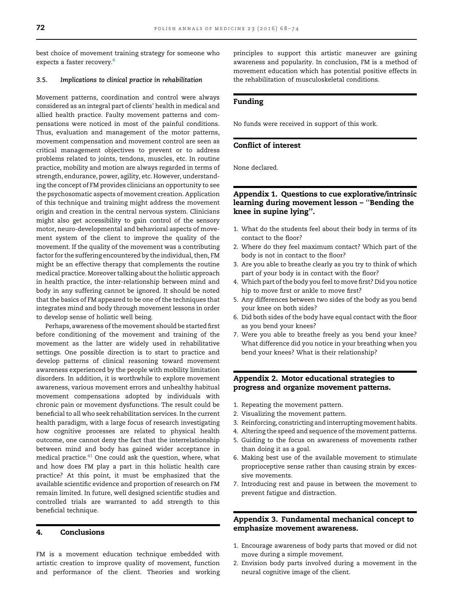<span id="page-4-0"></span>best choice of movement training strategy for someone who expects a faster recovery.<sup>[6](#page-5-0)</sup>

#### 3.5. Implications to clinical practice in rehabilitation

Movement patterns, coordination and control were always considered as an integral part of clients' health in medical and allied health practice. Faulty movement patterns and compensations were noticed in most of the painful conditions. Thus, evaluation and management of the motor patterns, movement compensation and movement control are seen as critical management objectives to prevent or to address problems related to joints, tendons, muscles, etc. In routine practice, mobility and motion are always regarded in terms of strength, endurance, power, agility, etc. However, understanding the concept of FM provides clinicians an opportunity to see the psychosomatic aspects of movement creation. Application of this technique and training might address the movement origin and creation in the central nervous system. Clinicians might also get accessibility to gain control of the sensory motor, neuro-developmental and behavioral aspects of movement system of the client to improve the quality of the movement. If the quality of the movement was a contributing factor for the suffering encountered by the individual, then, FM might be an effective therapy that complements the routine medical practice. Moreover talking about the holistic approach in health practice, the inter-relationship between mind and body in any suffering cannot be ignored. It should be noted that the basics of FM appeared to be one of the techniques that integrates mind and body through movement lessons in order to develop sense of holistic well being.

Perhaps, awareness of the movement should be started first before conditioning of the movement and training of the movement as the latter are widely used in rehabilitative settings. One possible direction is to start to practice and develop patterns of clinical reasoning toward movement awareness experienced by the people with mobility limitation disorders. In addition, it is worthwhile to explore movement awareness, various movement errors and unhealthy habitual movement compensations adopted by individuals with chronic pain or movement dysfunctions. The result could be beneficial to all who seek rehabilitation services. In the current health paradigm, with a large focus of research investigating how cognitive processes are related to physical health outcome, one cannot deny the fact that the interrelationship between mind and body has gained wider acceptance in medical practice. $41$  One could ask the question, where, what and how does FM play a part in this holistic health care practice? At this point, it must be emphasized that the available scientific evidence and proportion of research on FM remain limited. In future, well designed scientific studies and controlled trials are warranted to add strength to this beneficial technique.

## 4. Conclusions

FM is a movement education technique embedded with artistic creation to improve quality of movement, function and performance of the client. Theories and working principles to support this artistic maneuver are gaining awareness and popularity. In conclusion, FM is a method of movement education which has potential positive effects in the rehabilitation of musculoskeletal conditions.

## Funding

No funds were received in support of this work.

## Conflict of interest

None declared.

## Appendix 1. Questions to cue explorative/intrinsic learning during movement lesson – ''Bending the knee in supine lying''.

- 1. What do the students feel about their body in terms of its contact to the floor?
- 2. Where do they feel maximum contact? Which part of the body is not in contact to the floor?
- 3. Are you able to breathe clearly as you try to think of which part of your body is in contact with the floor?
- 4. Which part of the body you feel to move first? Did you notice hip to move first or ankle to move first?
- 5. Any differences between two sides of the body as you bend your knee on both sides?
- 6. Did both sides of the body have equal contact with the floor as you bend your knees?
- 7. Were you able to breathe freely as you bend your knee? What difference did you notice in your breathing when you bend your knees? What is their relationship?

## Appendix 2. Motor educational strategies to progress and organize movement patterns.

- 1. Repeating the movement pattern.
- 2. Visualizing the movement pattern.
- 3. Reinforcing, constricting and interrupting movement habits.
- 4. Altering the speed and sequence of the movement patterns.
- 5. Guiding to the focus on awareness of movements rather than doing it as a goal.
- 6. Making best use of the available movement to stimulate proprioceptive sense rather than causing strain by excessive movements.
- 7. Introducing rest and pause in between the movement to prevent fatigue and distraction.

## Appendix 3. Fundamental mechanical concept to emphasize movement awareness.

- 1. Encourage awareness of body parts that moved or did not move during a simple movement.
- 2. Envision body parts involved during a movement in the neural cognitive image of the client.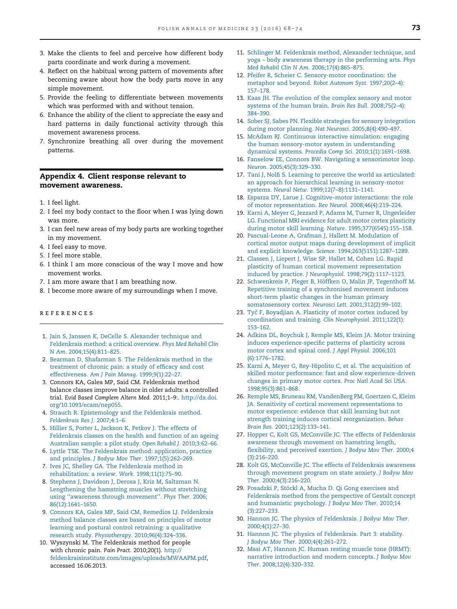- <span id="page-5-0"></span>3. Make the clients to feel and perceive how different body parts coordinate and work during a movement.
- 4. Reflect on the habitual wrong pattern of movements after becoming aware about how the body parts move in any simple movement.
- 5. Provide the feeling to differentiate between movements which was performed with and without tension.
- 6. Enhance the ability of the client to appreciate the easy and hard patterns in daily functional activity through this movement awareness process.
- 7. Synchronize breathing all over during the movement patterns.

## Appendix 4. Client response relevant to movement awareness.

- 1. I feel light.
- 2. I feel my body contact to the floor when I was lying down was more.
- 3. I can feel new areas of my body parts are working together in my movement.
- 4. I feel easy to move.
- 5. I feel more stable.
- 6. I think I am more conscious of the way I move and how movement works.
- 7. I am more aware that I am breathing now.
- 8. I become more aware of my surroundings when I move.

#### r e f e r e n c e s

- 1. Jain S, Janssen K, DeCelle S. [Alexander](http://refhub.elsevier.com/S1230-8013(15)00034-X/sbref0210) technique and [Feldenkrais](http://refhub.elsevier.com/S1230-8013(15)00034-X/sbref0210) method: a critical overview. Phys Med Rehabil Clin N Am. [2004;15\(4\):811](http://refhub.elsevier.com/S1230-8013(15)00034-X/sbref0210)–825.
- 2. Bearman D, Shafarman S. The [Feldenkrais](http://refhub.elsevier.com/S1230-8013(15)00034-X/sbref0215) method in the [treatment](http://refhub.elsevier.com/S1230-8013(15)00034-X/sbref0215) of chronic pain: a study of efficacy and cost [effectiveness.](http://refhub.elsevier.com/S1230-8013(15)00034-X/sbref0215) Am J Pain Manag. 1999;9(1):22–27.
- 3. Connors KA, Galea MP, Said CM. Feldenkrais method balance classes improve balance in older adults: a controlled trial. Evid Based Complem Altern Med. 2011;1–9:. [http://dx.doi.](http://dx.doi.org/10.1093/ecam/nep055) [org/10.1093/ecam/nep055.](http://dx.doi.org/10.1093/ecam/nep055)
- 4. Strauch R. [Epistemology](http://refhub.elsevier.com/S1230-8013(15)00034-X/sbref0225) and the Feldenkrais method. [Feldenkrais](http://refhub.elsevier.com/S1230-8013(15)00034-X/sbref0225) Res J. 2007;4:1–6.
- 5. Hillier S, Porter L, [Jackson](http://refhub.elsevier.com/S1230-8013(15)00034-X/sbref0230) K, Petkov J. The effects of [Feldenkrais](http://refhub.elsevier.com/S1230-8013(15)00034-X/sbref0230) classes on the health and function of an ageing [Australian](http://refhub.elsevier.com/S1230-8013(15)00034-X/sbref0230) sample: a pilot study. Open Rehabil J. 2010;3:62–66.
- 6. Lyttle TSK. The Feldenkrais method: [application,](http://refhub.elsevier.com/S1230-8013(15)00034-X/sbref0235) practice and principles. J Bodyw Mov Ther. [1997;1\(5\):262](http://refhub.elsevier.com/S1230-8013(15)00034-X/sbref0235)–269.
- 7. Ives JC, Shelley GA. The [Feldenkrais](http://refhub.elsevier.com/S1230-8013(15)00034-X/sbref0240) method in [rehabilitation:](http://refhub.elsevier.com/S1230-8013(15)00034-X/sbref0240) a review. Work. 1998;11(1):75–90.
- 8. Stephens J, Davidson J, Derosa J, Kriz M, [Saltzman](http://refhub.elsevier.com/S1230-8013(15)00034-X/sbref0245) N. [Lengthening](http://refhub.elsevier.com/S1230-8013(15)00034-X/sbref0245) the hamstring muscles without stretching using ''awareness through [movement](http://refhub.elsevier.com/S1230-8013(15)00034-X/sbref0245)''. Phys Ther. 2006; [86\(12\):1641](http://refhub.elsevier.com/S1230-8013(15)00034-X/sbref0245)–1650.
- 9. Connors KA, Galea MP, Said CM, Remedios LJ. [Feldenkrais](http://refhub.elsevier.com/S1230-8013(15)00034-X/sbref0250) method balance classes are based on [principles](http://refhub.elsevier.com/S1230-8013(15)00034-X/sbref0250) of motor learning and postural control retraining: a [qualitative](http://refhub.elsevier.com/S1230-8013(15)00034-X/sbref0250) research study. Physiotherapy. [2010;96\(4\):324](http://refhub.elsevier.com/S1230-8013(15)00034-X/sbref0250)–336.
- 10. Wyszynski M. The Feldenkrais method for people with chronic pain. Pain Pract. 2010;20(1). [http://](http://feldenkraisinstitute.com/images/uploads/MWAAPM.pdf) [feldenkraisinstitute.com/images/uploads/MWAAPM.pdf,](http://feldenkraisinstitute.com/images/uploads/MWAAPM.pdf) accessed 16.06.2013.
- 11. Schlinger M. [Feldenkrais](http://refhub.elsevier.com/S1230-8013(15)00034-X/sbref0260) method, Alexander technique, and yoga – body awareness therapy in the [performing](http://refhub.elsevier.com/S1230-8013(15)00034-X/sbref0260) arts. Phys Med Rehabil Clin N Am. [2006;17\(4\):865](http://refhub.elsevier.com/S1230-8013(15)00034-X/sbref0260)–875.
- 12. Pfeifer R, Scheier C. [Sensory-motor](http://refhub.elsevier.com/S1230-8013(15)00034-X/sbref0265) coordination: the [metaphor](http://refhub.elsevier.com/S1230-8013(15)00034-X/sbref0265) and beyond. Robot Autonom Syst. 1997;20(2–4): 157–[178](http://refhub.elsevier.com/S1230-8013(15)00034-X/sbref0265).
- 13. Kaas JH. The [evolution](http://refhub.elsevier.com/S1230-8013(15)00034-X/sbref0270) of the complex sensory and motor systems of the human brain. Brain Res Bull. [2008;75\(2](http://refhub.elsevier.com/S1230-8013(15)00034-X/sbref0270)–4): 384–[390](http://refhub.elsevier.com/S1230-8013(15)00034-X/sbref0270).
- 14. Sober SJ, Sabes PN. Flexible strategies for sensory [integration](http://refhub.elsevier.com/S1230-8013(15)00034-X/sbref0275) during motor planning. Nat Neurosci. [2005;8\(4\):490](http://refhub.elsevier.com/S1230-8013(15)00034-X/sbref0275)–497.
- 15. McAdam RJ. [Continuous](http://refhub.elsevier.com/S1230-8013(15)00034-X/sbref0280) interactive simulation: engaging the human [sensory-motor](http://refhub.elsevier.com/S1230-8013(15)00034-X/sbref0280) system in understanding dynamical systems. Procedia Comp Sci. [2010;1\(1\):1691](http://refhub.elsevier.com/S1230-8013(15)00034-X/sbref0280)–1698.
- 16. Fanselow EE, Connors BW. Navigating a [sensorimotor](http://refhub.elsevier.com/S1230-8013(15)00034-X/sbref0285) loop. Neuron. [2005;45\(3\):329](http://refhub.elsevier.com/S1230-8013(15)00034-X/sbref0285)–330.
- 17. Tani J, Nolfi S. Learning to perceive the world as [articulated:](http://refhub.elsevier.com/S1230-8013(15)00034-X/sbref0290) an approach for hierarchical learning in [sensory-motor](http://refhub.elsevier.com/S1230-8013(15)00034-X/sbref0290) systems. Neural Netw. [1999;12\(7](http://refhub.elsevier.com/S1230-8013(15)00034-X/sbref0290)–8):1131–1141.
- 18. Esparza DY, Larue J. Cognitive–motor [interactions:](http://refhub.elsevier.com/S1230-8013(15)00034-X/sbref0295) the role of motor [representation.](http://refhub.elsevier.com/S1230-8013(15)00034-X/sbref0295) Rev Neurol. 2008;46(4):219–224.
- 19. Karni A, Meyer G, Jezzard P, Adams M, Turner R, [Ungerleider](http://refhub.elsevier.com/S1230-8013(15)00034-X/sbref0300) LG. [Functional](http://refhub.elsevier.com/S1230-8013(15)00034-X/sbref0300) MRI evidence for adult motor cortex plasticity during motor skill learning. Nature. [1995;377\(6545\):155](http://refhub.elsevier.com/S1230-8013(15)00034-X/sbref0300)–158.
- 20. [Pascual-Leone](http://refhub.elsevier.com/S1230-8013(15)00034-X/sbref0305) A, Grafman J, Hallett M. Modulation of cortical motor output maps during [development](http://refhub.elsevier.com/S1230-8013(15)00034-X/sbref0305) of implicit and explicit knowledge. Science. [1994;263\(5151\):1287](http://refhub.elsevier.com/S1230-8013(15)00034-X/sbref0305)–1289.
- 21. [Classen](http://refhub.elsevier.com/S1230-8013(15)00034-X/sbref0310) J, Liepert J, Wise SP, Hallet M, Cohen LG. Rapid plasticity of human cortical movement [representation](http://refhub.elsevier.com/S1230-8013(15)00034-X/sbref0310) induced by practice. J Neurophysiol. [1998;79\(2\):1117](http://refhub.elsevier.com/S1230-8013(15)00034-X/sbref0310)–1123.
- 22. [Schwenkreis](http://refhub.elsevier.com/S1230-8013(15)00034-X/sbref0315) P, Pleger B, Höffken O, Malin JP, Tegenthoff M. Repetitive training of a [synchronised](http://refhub.elsevier.com/S1230-8013(15)00034-X/sbref0315) movement induces [short-term](http://refhub.elsevier.com/S1230-8013(15)00034-X/sbref0315) plastic changes in the human primary [somatosensory](http://refhub.elsevier.com/S1230-8013(15)00034-X/sbref0315) cortex. Neurosci Lett. 2001;312(2):99–102.
- 23. Tyč F, [Boyadjian](http://refhub.elsevier.com/S1230-8013(15)00034-X/sbref0320) A. Plasticity of motor cortex induced by [coordination](http://refhub.elsevier.com/S1230-8013(15)00034-X/sbref0320) and training. Clin Neurophysiol. 2011;122(1): 153–[162](http://refhub.elsevier.com/S1230-8013(15)00034-X/sbref0320).
- 24. Adkins DL, [Boychuk](http://refhub.elsevier.com/S1230-8013(15)00034-X/sbref0325) J, Remple MS, Kleim JA. Motor training induces [experience-speci](http://refhub.elsevier.com/S1230-8013(15)00034-X/sbref0325)fic patterns of plasticity across motor cortex and spinal cord. J Appl Physiol. [2006;101](http://refhub.elsevier.com/S1230-8013(15)00034-X/sbref0325) [\(6\):1776](http://refhub.elsevier.com/S1230-8013(15)00034-X/sbref0325)–1782.
- 25. Karni A, Meyer G, [Rey-Hipolito](http://refhub.elsevier.com/S1230-8013(15)00034-X/sbref0330) C, et al. The acquisition of skilled motor performance: fast and slow [experience-driven](http://refhub.elsevier.com/S1230-8013(15)00034-X/sbref0330) [changes](http://refhub.elsevier.com/S1230-8013(15)00034-X/sbref0330) in primary motor cortex. Proc Natl Acad Sci USA. [1998;95\(3\):861](http://refhub.elsevier.com/S1230-8013(15)00034-X/sbref0330)–868.
- 26. Remple MS, Bruneau RM, [VandenBerg](http://refhub.elsevier.com/S1230-8013(15)00034-X/sbref0335) PM, Goertzen C, Kleim JA. Sensitivity of cortical movement [representations](http://refhub.elsevier.com/S1230-8013(15)00034-X/sbref0335) to motor [experience:](http://refhub.elsevier.com/S1230-8013(15)00034-X/sbref0335) evidence that skill learning but not strength training induces cortical [reorganization.](http://refhub.elsevier.com/S1230-8013(15)00034-X/sbref0335) Behav Brain Res. [2001;123\(2\):133](http://refhub.elsevier.com/S1230-8013(15)00034-X/sbref0335)–141.
- 27. Hopper C, Kolt GS, McConville JC. The effects of [Feldenkrais](http://refhub.elsevier.com/S1230-8013(15)00034-X/sbref0340) awareness through [movement](http://refhub.elsevier.com/S1230-8013(15)00034-X/sbref0340) on hamstring length, flexibility, and [perceived](http://refhub.elsevier.com/S1230-8013(15)00034-X/sbref0340) exertion. J Bodyw Mov Ther. 2000;4 [\(3\):216](http://refhub.elsevier.com/S1230-8013(15)00034-X/sbref0340)–220.
- 28. Kolt GS, McConville JC. The effects of [Feldenkrais](http://refhub.elsevier.com/S1230-8013(15)00034-X/sbref0345) awareness through [movement](http://refhub.elsevier.com/S1230-8013(15)00034-X/sbref0345) program on state anxiety. J Bodyw Mov Ther. [2000;4\(3\):216](http://refhub.elsevier.com/S1230-8013(15)00034-X/sbref0345)–220.
- 29. Posadzki P, Stöckl A, Mucha D. Qi Gong [exercises](http://refhub.elsevier.com/S1230-8013(15)00034-X/sbref0350) and Feldenkrais method from the [perspective](http://refhub.elsevier.com/S1230-8013(15)00034-X/sbref0350) of Gestalt concept and humanistic [psychology.](http://refhub.elsevier.com/S1230-8013(15)00034-X/sbref0350) J Bodyw Mov Ther. 2010;14 [\(3\):227](http://refhub.elsevier.com/S1230-8013(15)00034-X/sbref0350)–233.
- 30. Hannon JC. The physics of [Feldenkrais.](http://refhub.elsevier.com/S1230-8013(15)00034-X/sbref0355) J Bodyw Mov Ther. [2000;4\(1\):27](http://refhub.elsevier.com/S1230-8013(15)00034-X/sbref0355)–30.
- 31. Hannon JC. The physics of [Feldenkrais.](http://refhub.elsevier.com/S1230-8013(15)00034-X/sbref0360) Part 3: stability. J Bodyw Mov Ther. [2000;4\(4\):261](http://refhub.elsevier.com/S1230-8013(15)00034-X/sbref0360)–272.
- 32. Masi AT, [Hannon](http://refhub.elsevier.com/S1230-8013(15)00034-X/sbref0365) JC. Human resting muscle tone (HRMT): narrative [introduction](http://refhub.elsevier.com/S1230-8013(15)00034-X/sbref0365) and modern concepts. J Bodyw Mov Ther. [2008;12\(4\):320](http://refhub.elsevier.com/S1230-8013(15)00034-X/sbref0365)–332.